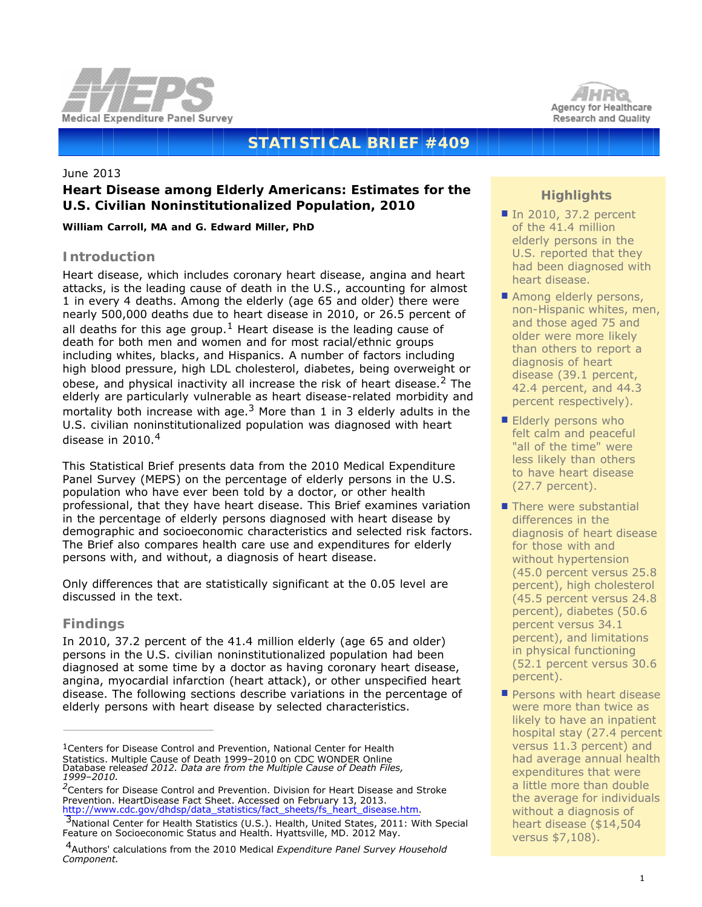



# **STATISTICAL BRIEF #409**

## June 2013

# **Heart Disease among Elderly Americans: Estimates for the U.S. Civilian Noninstitutionalized Population, 2010**

*William Carroll, MA and G. Edward Miller, PhD*

# **Introduction**

Heart disease, which includes coronary heart disease, angina and heart attacks, is the leading cause of death in the U.S., accounting for almost 1 in every 4 deaths. Among the elderly (age 65 and older) there were nearly 500,000 deaths due to heart disease in 2010, or 26.5 percent of all deaths for this age group.<sup>1</sup> Heart disease is the leading cause of death for both men and women and for most racial/ethnic groups including whites, blacks, and Hispanics. A number of factors including high blood pressure, high LDL cholesterol, diabetes, being overweight or obese, and physical inactivity all increase the risk of heart disease.<sup>2</sup> The elderly are particularly vulnerable as heart disease-related morbidity and mortality both increase with age.<sup>3</sup> More than 1 in 3 elderly adults in the U.S. civilian noninstitutionalized population was diagnosed with heart disease in  $2010.<sup>4</sup>$ 

This Statistical Brief presents data from the 2010 Medical Expenditure Panel Survey (MEPS) on the percentage of elderly persons in the U.S. population who have ever been told by a doctor, or other health professional, that they have heart disease. This Brief examines variation in the percentage of elderly persons diagnosed with heart disease by demographic and socioeconomic characteristics and selected risk factors. The Brief also compares health care use and expenditures for elderly persons with, and without, a diagnosis of heart disease.

Only differences that are statistically significant at the 0.05 level are discussed in the text.

# **Findings**

In 2010, 37.2 percent of the 41.4 million elderly (age 65 and older) persons in the U.S. civilian noninstitutionalized population had been diagnosed at some time by a doctor as having coronary heart disease, angina, myocardial infarction (heart attack), or other unspecified heart disease. The following sections describe variations in the percentage of elderly persons with heart disease by selected characteristics.

# **Highlights**

- In 2010, 37.2 percent of the 41.4 million elderly persons in the U.S. reported that they had been diagnosed with heart disease.
- Among elderly persons, non-Hispanic whites, men, and those aged 75 and older were more likely than others to report a diagnosis of heart disease (39.1 percent, 42.4 percent, and 44.3 percent respectively).
- **Elderly persons who** felt calm and peaceful "all of the time" were less likely than others to have heart disease (27.7 percent).
- $\blacksquare$  There were substantial differences in the diagnosis of heart disease for those with and without hypertension (45.0 percent versus 25.8 percent), high cholesterol (45.5 percent versus 24.8 percent), diabetes (50.6 percent versus 34.1 percent), and limitations in physical functioning (52.1 percent versus 30.6 percent).
- Persons with heart disease were more than twice as likely to have an inpatient hospital stay (27.4 percent versus 11.3 percent) and had average annual health expenditures that were a little more than double the average for individuals without a diagnosis of heart disease (\$14,504 versus \$7,108).

<sup>1</sup>Centers for Disease Control and Prevention, National Center for Health Statistics. Multiple Cause of Death 1999–2010 on CDC WONDER Online<br>Database releas*ed 2012. Data are from the Multiple Cause of Death Files,*<br>1999–*2010.* 

*<sup>2</sup>*Centers for Disease Control and Prevention. Division for Heart Disease and Stroke Prevention. HeartDisease Fact Sheet. Accessed on February 13, 2013.<br>http://www.cdc.gov/dhdsp/data\_statistics/fact\_sheets/fs\_heart\_disease.htm.

 $<sup>3</sup>$  $<sup>3</sup>$  $<sup>3</sup>$ National Center for Health Statistics (U.S.). Health, United States, 2011: With Special</sup> Feature on Socioeconomic Status and Health. Hyattsville, MD. 2012 May.

<sup>4</sup>Authors' calculations from the 2010 Medical *Expenditure Panel Survey Household Component.*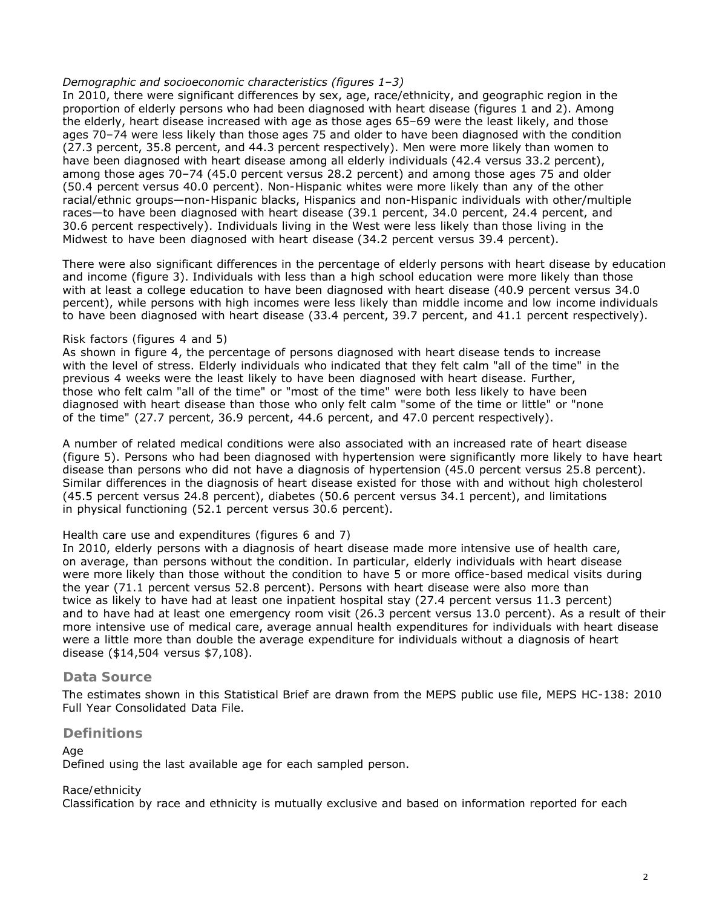## *Demographic and socioeconomic characteristics (figures 1–3)*

In 2010, there were significant differences by sex, age, race/ethnicity, and geographic region in the proportion of elderly persons who had been diagnosed with heart disease (figures 1 and 2). Among the elderly, heart disease increased with age as those ages 65–69 were the least likely, and those ages 70–74 were less likely than those ages 75 and older to have been diagnosed with the condition (27.3 percent, 35.8 percent, and 44.3 percent respectively). Men were more likely than women to have been diagnosed with heart disease among all elderly individuals (42.4 versus 33.2 percent), among those ages 70–74 (45.0 percent versus 28.2 percent) and among those ages 75 and older (50.4 percent versus 40.0 percent). Non-Hispanic whites were more likely than any of the other racial/ethnic groups—non-Hispanic blacks, Hispanics and non-Hispanic individuals with other/multiple races—to have been diagnosed with heart disease (39.1 percent, 34.0 percent, 24.4 percent, and 30.6 percent respectively). Individuals living in the West were less likely than those living in the Midwest to have been diagnosed with heart disease (34.2 percent versus 39.4 percent).

There were also significant differences in the percentage of elderly persons with heart disease by education and income (figure 3). Individuals with less than a high school education were more likely than those with at least a college education to have been diagnosed with heart disease (40.9 percent versus 34.0 percent), while persons with high incomes were less likely than middle income and low income individuals to have been diagnosed with heart disease (33.4 percent, 39.7 percent, and 41.1 percent respectively).

## *Risk factors (figures 4 and 5)*

As shown in figure 4, the percentage of persons diagnosed with heart disease tends to increase with the level of stress. Elderly individuals who indicated that they felt calm "all of the time" in the previous 4 weeks were the least likely to have been diagnosed with heart disease. Further, those who felt calm "all of the time" or "most of the time" were both less likely to have been diagnosed with heart disease than those who only felt calm "some of the time or little" or "none of the time" (27.7 percent, 36.9 percent, 44.6 percent, and 47.0 percent respectively).

A number of related medical conditions were also associated with an increased rate of heart disease (figure 5). Persons who had been diagnosed with hypertension were significantly more likely to have heart disease than persons who did not have a diagnosis of hypertension (45.0 percent versus 25.8 percent). Similar differences in the diagnosis of heart disease existed for those with and without high cholesterol (45.5 percent versus 24.8 percent), diabetes (50.6 percent versus 34.1 percent), and limitations in physical functioning (52.1 percent versus 30.6 percent).

## *Health care use and expenditures (figures 6 and 7)*

In 2010, elderly persons with a diagnosis of heart disease made more intensive use of health care, on average, than persons without the condition. In particular, elderly individuals with heart disease were more likely than those without the condition to have 5 or more office-based medical visits during the year (71.1 percent versus 52.8 percent). Persons with heart disease were also more than twice as likely to have had at least one inpatient hospital stay (27.4 percent versus 11.3 percent) and to have had at least one emergency room visit (26.3 percent versus 13.0 percent). As a result of their more intensive use of medical care, average annual health expenditures for individuals with heart disease were a little more than double the average expenditure for individuals without a diagnosis of heart disease (\$14,504 versus \$7,108).

# **Data Source**

The estimates shown in this Statistical Brief are drawn from the MEPS public use file, MEPS HC-138: 2010 Full Year Consolidated Data File.

# **Definitions**

*Age*

Defined using the last available age for each sampled person.

## *Race/ethnicity*

Classification by race and ethnicity is mutually exclusive and based on information reported for each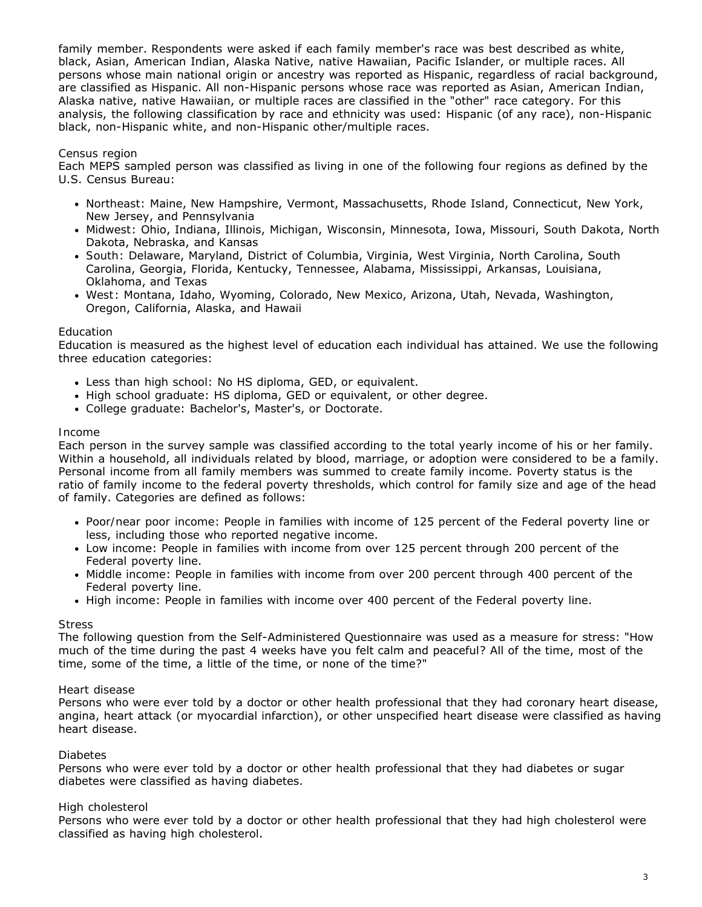family member. Respondents were asked if each family member's race was best described as white, black, Asian, American Indian, Alaska Native, native Hawaiian, Pacific Islander, or multiple races. All persons whose main national origin or ancestry was reported as Hispanic, regardless of racial background, are classified as Hispanic. All non-Hispanic persons whose race was reported as Asian, American Indian, Alaska native, native Hawaiian, or multiple races are classified in the "other" race category. For this analysis, the following classification by race and ethnicity was used: Hispanic (of any race), non-Hispanic black, non-Hispanic white, and non-Hispanic other/multiple races.

## *Census region*

Each MEPS sampled person was classified as living in one of the following four regions as defined by the U.S. Census Bureau:

- *Northeast*: Maine, New Hampshire, Vermont, Massachusetts, Rhode Island, Connecticut, New York, New Jersey, and Pennsylvania
- *Midwest*: Ohio, Indiana, Illinois, Michigan, Wisconsin, Minnesota, Iowa, Missouri, South Dakota, North Dakota, Nebraska, and Kansas
- *South*: Delaware, Maryland, District of Columbia, Virginia, West Virginia, North Carolina, South Carolina, Georgia, Florida, Kentucky, Tennessee, Alabama, Mississippi, Arkansas, Louisiana, Oklahoma, and Texas
- *West*: Montana, Idaho, Wyoming, Colorado, New Mexico, Arizona, Utah, Nevada, Washington, Oregon, California, Alaska, and Hawaii

#### *Education*

Education is measured as the highest level of education each individual has attained. We use the following three education categories:

- *Less than high school*: No HS diploma, GED, or equivalent.
- *High school graduate*: HS diploma, GED or equivalent, or other degree.
- *College graduate*: Bachelor's, Master's, or Doctorate.

#### *Income*

Each person in the survey sample was classified according to the total yearly income of his or her family. Within a household, all individuals related by blood, marriage, or adoption were considered to be a family. Personal income from all family members was summed to create family income. Poverty status is the ratio of family income to the federal poverty thresholds, which control for family size and age of the head of family. Categories are defined as follows:

- *Poor/near poor income*: People in families with income of 125 percent of the Federal poverty line or less, including those who reported negative income.
- *Low income*: People in families with income from over 125 percent through 200 percent of the Federal poverty line.
- *Middle income*: People in families with income from over 200 percent through 400 percent of the Federal poverty line.
- *High income*: People in families with income over 400 percent of the Federal poverty line.

#### *Stress*

The following question from the Self-Administered Questionnaire was used as a measure for stress: "How much of the time during the past 4 weeks have you felt calm and peaceful? All of the time, most of the time, some of the time, a little of the time, or none of the time?"

#### *Heart disease*

Persons who were ever told by a doctor or other health professional that they had coronary heart disease, angina, heart attack (or myocardial infarction), or other unspecified heart disease were classified as having heart disease.

#### *Diabetes*

Persons who were ever told by a doctor or other health professional that they had diabetes or sugar diabetes were classified as having diabetes.

#### *High cholesterol*

Persons who were ever told by a doctor or other health professional that they had high cholesterol were classified as having high cholesterol.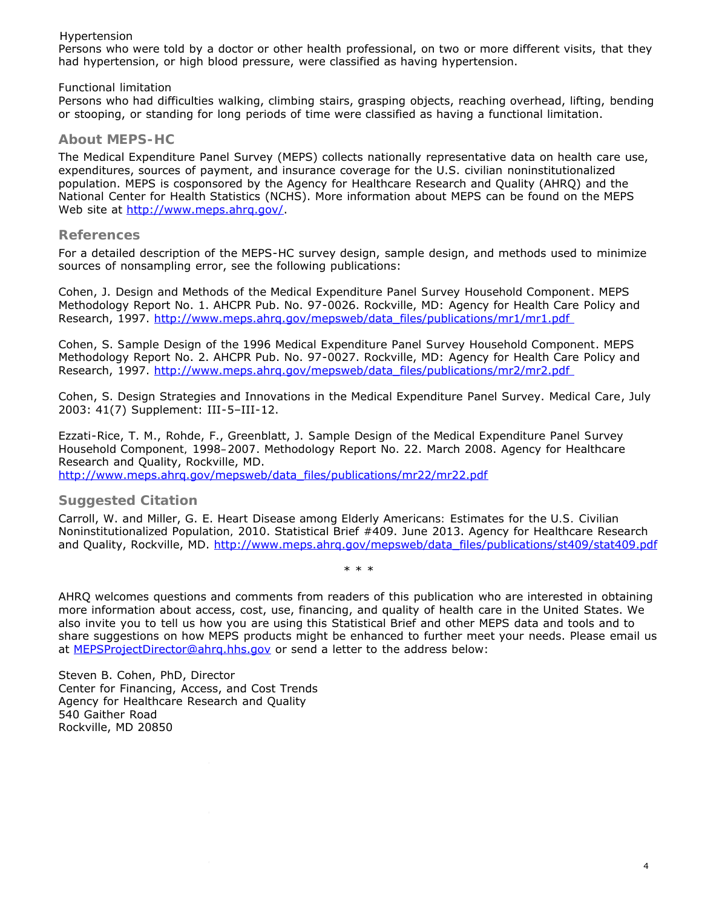## *Hypertension*

Persons who were told by a doctor or other health professional, on two or more different visits, that they had hypertension, or high blood pressure, were classified as having hypertension.

## *Functional limitation*

Persons who had difficulties walking, climbing stairs, grasping objects, reaching overhead, lifting, bending or stooping, or standing for long periods of time were classified as having a functional limitation.

# **About MEPS-HC**

The Medical Expenditure Panel Survey (MEPS) collects nationally representative data on health care use, expenditures, sources of payment, and insurance coverage for the U.S. civilian noninstitutionalized population. MEPS is cosponsored by the Agency for Healthcare Research and Quality (AHRQ) and the National Center for Health Statistics (NCHS). More information about MEPS can be found on the MEPS Web site at http://www.meps.ahrg.gov/.

## **References**

For a detailed description of the MEPS-HC survey design, sample design, and methods used to minimize sources of nonsampling error, see the following publications:

Cohen, J. *Design and Methods of the Medical Expenditure Panel Survey Household Component*. MEPS Methodology Report No. 1. AHCPR Pub. No. 97-0026. Rockville, MD: Agency for Health Care Policy and Research, 1997. [http://www.meps.ahrq.gov/mepsweb/data\\_files/publications/mr1/mr1.pdf](http://www.meps.ahrq.gov/mepsweb/data_files/publications/mr1/mr1.pdf)

Cohen, S. *Sample Design of the 1996 Medical Expenditure Panel Survey Household Component*. MEPS Methodology Report No. 2. AHCPR Pub. No. 97-0027. Rockville, MD: Agency for Health Care Policy and Research, 1997. [http://www.meps.ahrq.gov/mepsweb/data\\_files/publications/mr2/mr2.pdf](http://www.meps.ahrq.gov/mepsweb/data_files/publications/mr2/mr2.pdf)

Cohen, S. Design Strategies and Innovations in the Medical Expenditure Panel Survey. *Medical Care*, July 2003: 41(7) Supplement: III-5–III-12.

Ezzati-Rice, T. M., Rohde, F., Greenblatt, J. *Sample Design of the Medical Expenditure Panel Survey Household Component, 1998–2007*. Methodology Report No. 22. March 2008. Agency for Healthcare Research and Quality, Rockville, MD.

[http://www.meps.ahrq.gov/mepsweb/data\\_files/publications/mr22/mr22.pdf](http://www.meps.ahrq.gov/mepsweb/data_files/publications/mr22/mr22.pdf)

# **Suggested Citation**

Carroll, W. and Miller, G. E. *Heart Disease among Elderly Americans: Estimates for the U.S. Civilian Noninstitutionalized Population, 2010*. Statistical Brief #409. June 2013. Agency for Healthcare Research and Quality, Rockville, MD. [http://www.meps.ahrq.gov/mepsweb/data\\_files/publications/st409/stat409.pdf](http://www.meps.ahrq.gov/mepsweb/data_files/publications/st409/stat409.pdf)

\* \* \*

AHRQ welcomes questions and comments from readers of this publication who are interested in obtaining more information about access, cost, use, financing, and quality of health care in the United States. We also invite you to tell us how you are using this Statistical Brief and other MEPS data and tools and to share suggestions on how MEPS products might be enhanced to further meet your needs. Please email us at [MEPSProjectDirector@ahrq.hhs.gov](mailto:MEPSProjectDirector@ahrq.hhs.gov) or send a letter to the address below:

Steven B. Cohen, PhD, Director Center for Financing, Access, and Cost Trends Agency for Healthcare Research and Quality 540 Gaither Road Rockville, MD 20850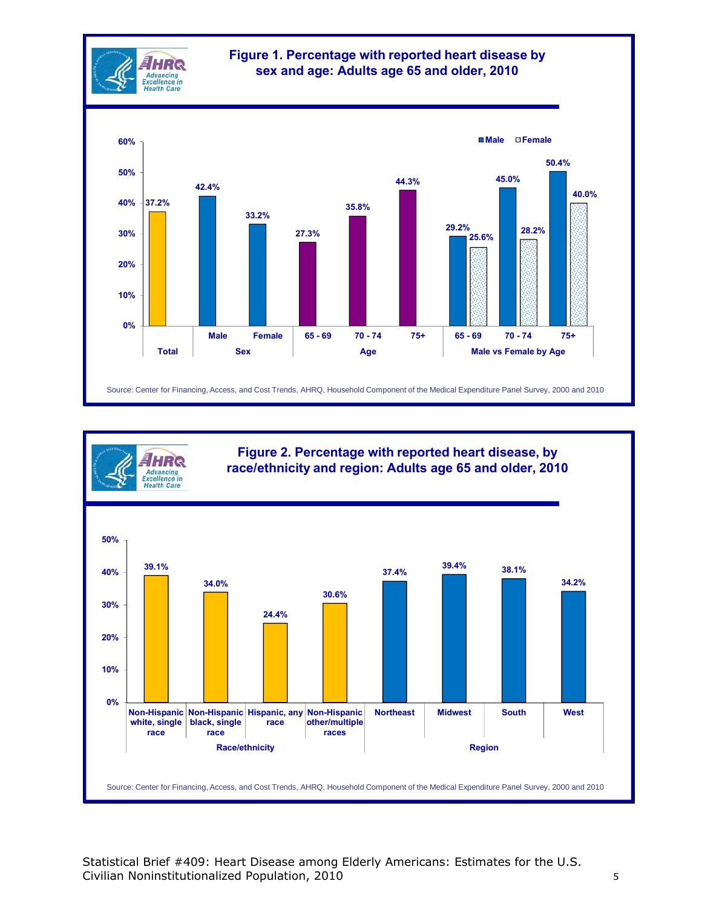



Statistical Brief #409: Heart Disease among Elderly Americans: Estimates for the U.S. Civilian Noninstitutionalized Population, 2010 5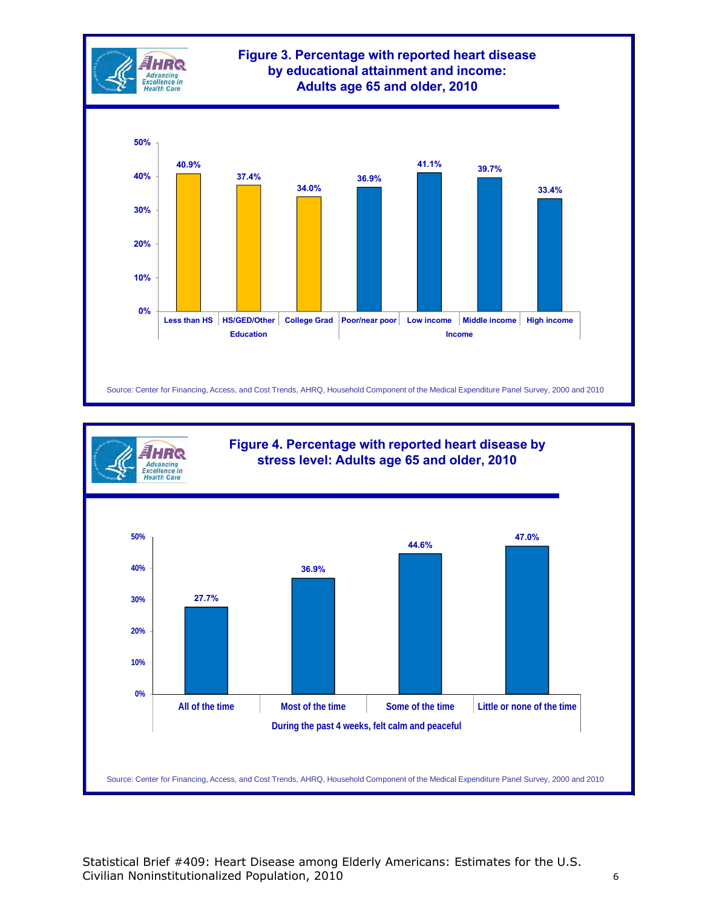



Statistical Brief #409: Heart Disease among Elderly Americans: Estimates for the U.S. Civilian Noninstitutionalized Population, 2010 6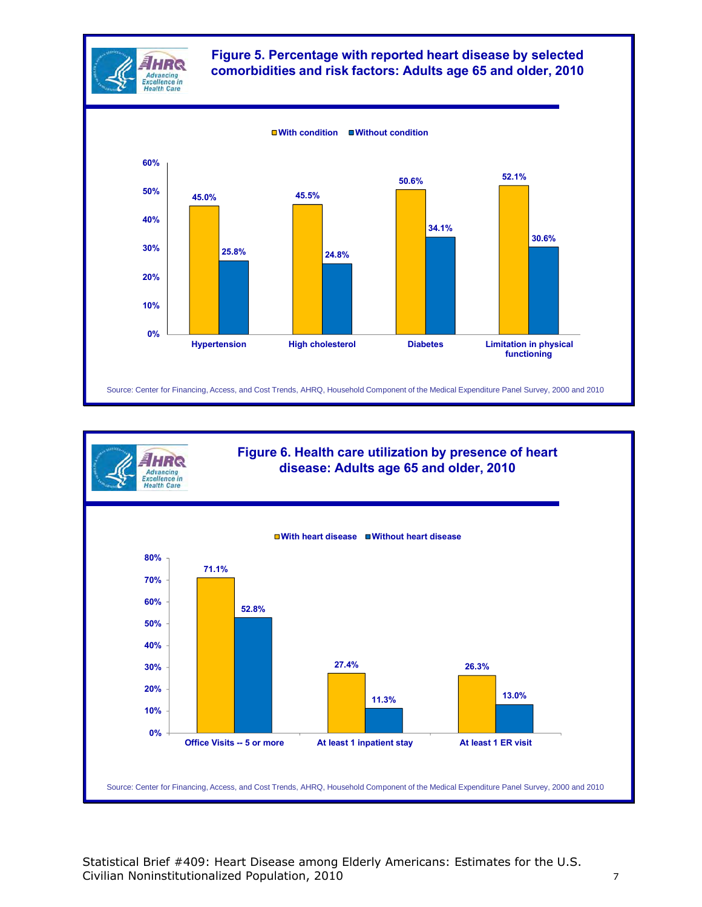



Statistical Brief #409: Heart Disease among Elderly Americans: Estimates for the U.S. Civilian Noninstitutionalized Population, 2010 7